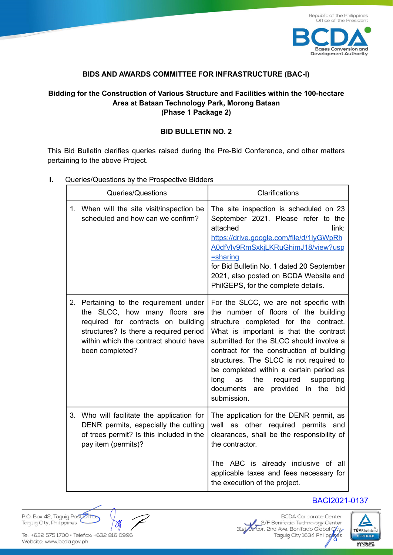

### **BIDS AND AWARDS COMMITTEE FOR INFRASTRUCTURE (BAC-I)**

## **Bidding for the Construction of Various Structure and Facilities within the 100-hectare Area at Bataan Technology Park, Morong Bataan (Phase 1 Package 2)**

#### **BID BULLETIN NO. 2**

This Bid Bulletin clarifies queries raised during the Pre-Bid Conference, and other matters pertaining to the above Project.

- Queries/Questions Clarifications 1. When will the site visit/inspection be scheduled and how can we confirm? The site inspection is scheduled on 23 September 2021. Please refer to the attached link: https://drive.google.com/file/d/1lyGWpRh A0dfVlv9RmSxkjLKRuGhimJ18/view?usp =sharing for Bid Bulletin No. 1 dated 20 September 2021, also posted on BCDA Website and PhilGEPS, for the complete details. 2. Pertaining to the requirement under the SLCC, how many floors are required for contracts on building structures? Is there a required period within which the contract should have been completed? For the SLCC, we are not specific with the number of floors of the building structure completed for the contract. What is important is that the contract submitted for the SLCC should involve a contract for the construction of building structures. The SLCC is not required to be completed within a certain period as long as the required supporting documents are provided in the bid submission. 3. Who will facilitate the application for DENR permits, especially the cutting of trees permit? Is this included in the pay item (permits)? The application for the DENR permit, as well as other required permits and clearances, shall be the responsibility of the contractor. The ABC is already inclusive of all applicable taxes and fees necessary for the execution of the project. BACI2021-0137
- **I.** Queries/Questions by the Prospective Bidders

P.O. Box 42, Taquiq Post Office Taguig City, Philippines

Tel: +632 575 1700 · Telefax: +632 816 0996 Website: www.bcda.gov.ph

**BCDA** Corporate Center 2/F Bonifacio Technology Center<br>31st Cor. 2nd Ave. Bonifacio Global City<br>Taguig City 1634 Philippines 2/F Bonifacio Technology Center

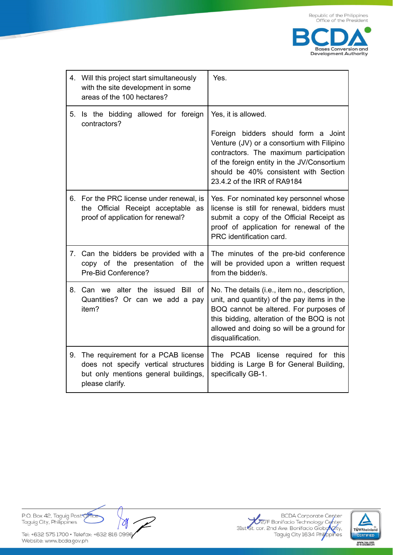

|    | 4. Will this project start simultaneously<br>with the site development in some<br>areas of the 100 hectares?                          | Yes.                                                                                                                                                                                                                                                                     |  |
|----|---------------------------------------------------------------------------------------------------------------------------------------|--------------------------------------------------------------------------------------------------------------------------------------------------------------------------------------------------------------------------------------------------------------------------|--|
| 5. | Is the bidding allowed for foreign<br>contractors?                                                                                    | Yes, it is allowed.<br>Foreign bidders should form a Joint<br>Venture (JV) or a consortium with Filipino<br>contractors. The maximum participation<br>of the foreign entity in the JV/Consortium<br>should be 40% consistent with Section<br>23.4.2 of the IRR of RA9184 |  |
| 6. | For the PRC license under renewal, is<br>the Official Receipt acceptable as<br>proof of application for renewal?                      | Yes. For nominated key personnel whose<br>license is still for renewal, bidders must<br>submit a copy of the Official Receipt as<br>proof of application for renewal of the<br>PRC identification card.                                                                  |  |
| 7. | Can the bidders be provided with a<br>copy of the presentation of the<br>Pre-Bid Conference?                                          | The minutes of the pre-bid conference<br>will be provided upon a written request<br>from the bidder/s.                                                                                                                                                                   |  |
| 8. | Can we alter the issued<br>Bill of<br>Quantities? Or can we add a pay<br>item?                                                        | No. The details (i.e., item no., description,<br>unit, and quantity) of the pay items in the<br>BOQ cannot be altered. For purposes of<br>this bidding, alteration of the BOQ is not<br>allowed and doing so will be a ground for<br>disqualification.                   |  |
| 9. | The requirement for a PCAB license<br>does not specify vertical structures<br>but only mentions general buildings,<br>please clarify. | The PCAB license required for this<br>bidding is Large B for General Building,<br>specifically GB-1.                                                                                                                                                                     |  |

P.O. Box 42, Taguig Post Office<br>Taguig City, Philippines

 $\gamma$ 

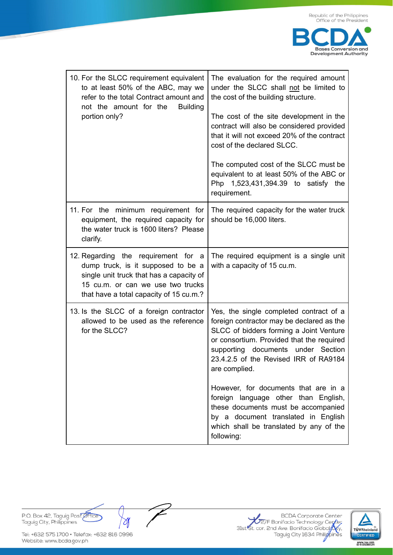| 10. For the SLCC requirement equivalent<br>to at least 50% of the ABC, may we<br>refer to the total Contract amount and<br>not the amount for the<br><b>Building</b><br>portion only?                 | The evaluation for the required amount<br>under the SLCC shall not be limited to<br>the cost of the building structure.<br>The cost of the site development in the<br>contract will also be considered provided<br>that it will not exceed 20% of the contract<br>cost of the declared SLCC.<br>The computed cost of the SLCC must be<br>equivalent to at least 50% of the ABC or<br>Php 1,523,431,394.39 to satisfy the<br>requirement. |
|-------------------------------------------------------------------------------------------------------------------------------------------------------------------------------------------------------|------------------------------------------------------------------------------------------------------------------------------------------------------------------------------------------------------------------------------------------------------------------------------------------------------------------------------------------------------------------------------------------------------------------------------------------|
| 11. For the minimum requirement for<br>equipment, the required capacity for<br>the water truck is 1600 liters? Please<br>clarify.                                                                     | The required capacity for the water truck<br>should be 16,000 liters.                                                                                                                                                                                                                                                                                                                                                                    |
| 12. Regarding the requirement for a<br>dump truck, is it supposed to be a<br>single unit truck that has a capacity of<br>15 cu.m. or can we use two trucks<br>that have a total capacity of 15 cu.m.? | The required equipment is a single unit<br>with a capacity of 15 cu.m.                                                                                                                                                                                                                                                                                                                                                                   |
| 13. Is the SLCC of a foreign contractor<br>allowed to be used as the reference<br>for the SLCC?                                                                                                       | Yes, the single completed contract of a<br>foreign contractor may be declared as the<br>SLCC of bidders forming a Joint Venture<br>or consortium. Provided that the required<br>supporting documents<br>under Section<br>23.4.2.5 of the Revised IRR of RA9184<br>are complied.                                                                                                                                                          |
|                                                                                                                                                                                                       | However, for documents that are in a<br>foreign language other than English,<br>these documents must be accompanied<br>by a document translated in English<br>which shall be translated by any of the<br>following:                                                                                                                                                                                                                      |

P.O. Box 42, Taguig Post Office Taguig City, Philippines

Tel: +632 575 1700 · Telefax: +632 816 0996 Website: www.bcda.gov.ph

 $\rightsquigarrow$ 

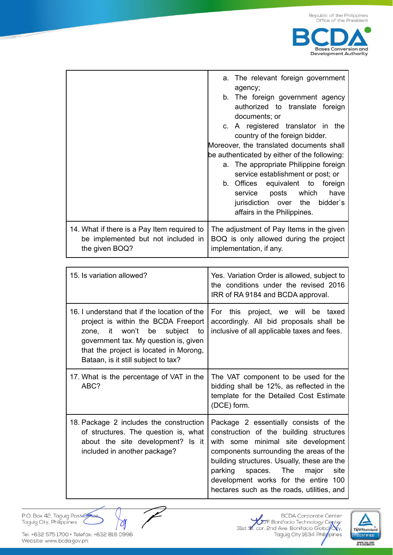

|                                                                                                     | a. The relevant foreign government<br>agency;                                                                 |  |  |
|-----------------------------------------------------------------------------------------------------|---------------------------------------------------------------------------------------------------------------|--|--|
|                                                                                                     | b. The foreign government agency                                                                              |  |  |
|                                                                                                     | authorized to translate foreign<br>documents; or                                                              |  |  |
|                                                                                                     | c. A registered translator in the                                                                             |  |  |
|                                                                                                     | country of the foreign bidder.                                                                                |  |  |
|                                                                                                     | Moreover, the translated documents shall<br>be authenticated by either of the following:                      |  |  |
|                                                                                                     |                                                                                                               |  |  |
|                                                                                                     | a. The appropriate Philippine foreign<br>service establishment or post; or                                    |  |  |
|                                                                                                     |                                                                                                               |  |  |
|                                                                                                     | b. Offices equivalent to foreign                                                                              |  |  |
|                                                                                                     | service posts which have                                                                                      |  |  |
|                                                                                                     | jurisdiction over the bidder's                                                                                |  |  |
|                                                                                                     | affairs in the Philippines.                                                                                   |  |  |
| 14. What if there is a Pay Item required to<br>be implemented but not included in<br>the given BOQ? | The adjustment of Pay Items in the given<br>BOQ is only allowed during the project<br>implementation, if any. |  |  |

| 15. Is variation allowed?                                                                                                                                                                                                                        | Yes. Variation Order is allowed, subject to<br>the conditions under the revised 2016<br>IRR of RA 9184 and BCDA approval.                                                                                                                                                                                                                   |  |
|--------------------------------------------------------------------------------------------------------------------------------------------------------------------------------------------------------------------------------------------------|---------------------------------------------------------------------------------------------------------------------------------------------------------------------------------------------------------------------------------------------------------------------------------------------------------------------------------------------|--|
| 16. I understand that if the location of the<br>project is within the BCDA Freeport<br>zone, it won't be<br>subject to<br>government tax. My question is, given<br>that the project is located in Morong,<br>Bataan, is it still subject to tax? | For this project, we will be taxed<br>accordingly. All bid proposals shall be<br>inclusive of all applicable taxes and fees.                                                                                                                                                                                                                |  |
| 17. What is the percentage of VAT in the<br>ABC?                                                                                                                                                                                                 | The VAT component to be used for the<br>bidding shall be 12%, as reflected in the<br>template for the Detailed Cost Estimate<br>(DCE) form.                                                                                                                                                                                                 |  |
| 18. Package 2 includes the construction<br>of structures. The question is, what<br>about the site development? Is it<br>included in another package?                                                                                             | Package 2 essentially consists of the<br>construction of the building structures<br>with some minimal site development<br>components surrounding the areas of the<br>building structures. Usually, these are the<br>parking spaces. The major<br>site<br>development works for the entire 100<br>hectares such as the roads, utilities, and |  |

P.O. Box 42, Taguig Post<del>. Office</del><br>Taguig City, Philippines

 $\overline{\mathscr{C}}$  $\rightsquigarrow$ 

**BCDA** Corporate Center BUJA Corporate Center<br>31st 91. cor. 2nd Ave. Bonifacio Global City.<br>Taguig City 1634 Philippines

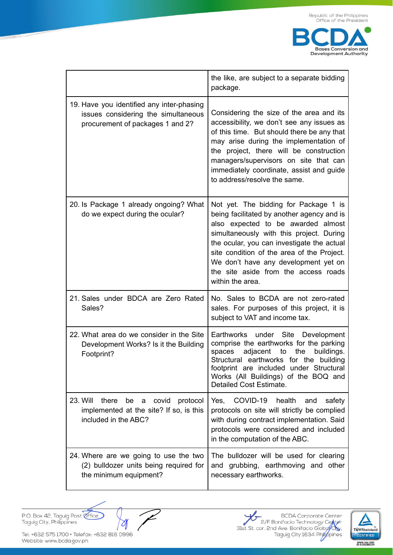

|                                                                                                                      | the like, are subject to a separate bidding<br>package.                                                                                                                                                                                                                                                                                                               |
|----------------------------------------------------------------------------------------------------------------------|-----------------------------------------------------------------------------------------------------------------------------------------------------------------------------------------------------------------------------------------------------------------------------------------------------------------------------------------------------------------------|
| 19. Have you identified any inter-phasing<br>issues considering the simultaneous<br>procurement of packages 1 and 2? | Considering the size of the area and its<br>accessibility, we don't see any issues as<br>of this time. But should there be any that<br>may arise during the implementation of<br>the project, there will be construction<br>managers/supervisors on site that can<br>immediately coordinate, assist and guide<br>to address/resolve the same.                         |
| 20. Is Package 1 already ongoing? What<br>do we expect during the ocular?                                            | Not yet. The bidding for Package 1 is<br>being facilitated by another agency and is<br>also expected to be awarded almost<br>simultaneously with this project. During<br>the ocular, you can investigate the actual<br>site condition of the area of the Project.<br>We don't have any development yet on<br>the site aside from the access roads<br>within the area. |
| 21. Sales under BDCA are Zero Rated<br>Sales?                                                                        | No. Sales to BCDA are not zero-rated<br>sales. For purposes of this project, it is<br>subject to VAT and income tax.                                                                                                                                                                                                                                                  |
| 22. What area do we consider in the Site<br>Development Works? Is it the Building<br>Footprint?                      | Earthworks under Site Development<br>comprise the earthworks for the parking<br>spaces<br>adjacent<br>the<br>buildings.<br>to<br>Structural earthworks for the building<br>footprint are included under Structural<br>Works (All Buildings) of the BOQ and<br>Detailed Cost Estimate.                                                                                 |
| 23. Will<br>there<br>be<br>covid<br>protocol<br>a<br>implemented at the site? If so, is this<br>included in the ABC? | COVID-19 health<br>Yes,<br>and<br>safety<br>protocols on site will strictly be complied<br>with during contract implementation. Said<br>protocols were considered and included<br>in the computation of the ABC.                                                                                                                                                      |
| 24. Where are we going to use the two<br>(2) bulldozer units being required for<br>the minimum equipment?            | The bulldozer will be used for clearing<br>and grubbing, earthmoving and other<br>necessary earthworks.                                                                                                                                                                                                                                                               |

P.O. Box 42, Taguig Post effice

 $\overline{\mathscr{C}}$  $\rightsquigarrow$ 

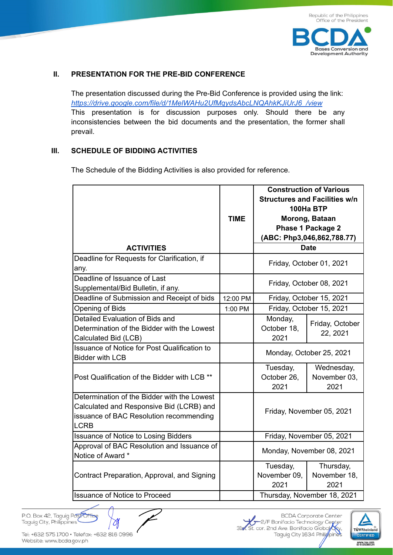**Bases Conversion and Development Authority** 

#### **II. PRESENTATION FOR THE PRE-BID CONFERENCE**

The presentation discussed during the Pre-Bid Conference is provided using the link: *https://drive.google.com/file/d/1MelWAHu2UfMqydsAbcLNQAhkKJiUrJ6\_/view* This presentation is for discussion purposes only. Should there be any inconsistencies between the bid documents and the presentation, the former shall prevail.

#### **III. SCHEDULE OF BIDDING ACTIVITIES**

The Schedule of the Bidding Activities is also provided for reference.

| <b>ACTIVITIES</b>                                                                                                                                 | <b>TIME</b> | <b>Construction of Various</b><br><b>Structures and Facilities w/n</b><br>100Ha BTP<br>Morong, Bataan<br><b>Phase 1 Package 2</b><br>(ABC: Php3,046,862,788.77)<br><b>Date</b> |                                    |
|---------------------------------------------------------------------------------------------------------------------------------------------------|-------------|--------------------------------------------------------------------------------------------------------------------------------------------------------------------------------|------------------------------------|
| Deadline for Requests for Clarification, if<br>any.                                                                                               |             | Friday, October 01, 2021                                                                                                                                                       |                                    |
| Deadline of Issuance of Last<br>Supplemental/Bid Bulletin, if any.                                                                                |             | Friday, October 08, 2021                                                                                                                                                       |                                    |
| Deadline of Submission and Receipt of bids                                                                                                        | 12:00 PM    | Friday, October 15, 2021                                                                                                                                                       |                                    |
| Opening of Bids                                                                                                                                   | 1:00 PM     | Friday, October 15, 2021                                                                                                                                                       |                                    |
| Detailed Evaluation of Bids and<br>Determination of the Bidder with the Lowest<br>Calculated Bid (LCB)                                            |             | Monday,<br>October 18,<br>2021                                                                                                                                                 | Friday, October<br>22, 2021        |
| <b>Issuance of Notice for Post Qualification to</b><br><b>Bidder with LCB</b>                                                                     |             | Monday, October 25, 2021                                                                                                                                                       |                                    |
| Post Qualification of the Bidder with LCB **                                                                                                      |             | Tuesday,<br>October 26,<br>2021                                                                                                                                                | Wednesday,<br>November 03,<br>2021 |
| Determination of the Bidder with the Lowest<br>Calculated and Responsive Bid (LCRB) and<br>issuance of BAC Resolution recommending<br><b>LCRB</b> |             | Friday, November 05, 2021                                                                                                                                                      |                                    |
| <b>Issuance of Notice to Losing Bidders</b>                                                                                                       |             | Friday, November 05, 2021                                                                                                                                                      |                                    |
| Approval of BAC Resolution and Issuance of<br>Notice of Award *                                                                                   |             | Monday, November 08, 2021                                                                                                                                                      |                                    |
| Contract Preparation, Approval, and Signing                                                                                                       |             | Tuesday,<br>November 09,<br>2021                                                                                                                                               | Thursday,<br>November 18,<br>2021  |
| <b>Issuance of Notice to Proceed</b>                                                                                                              |             | Thursday, November 18, 2021                                                                                                                                                    |                                    |

P.O. Box 42, Taguig PostOffic Taguig City, Philippines

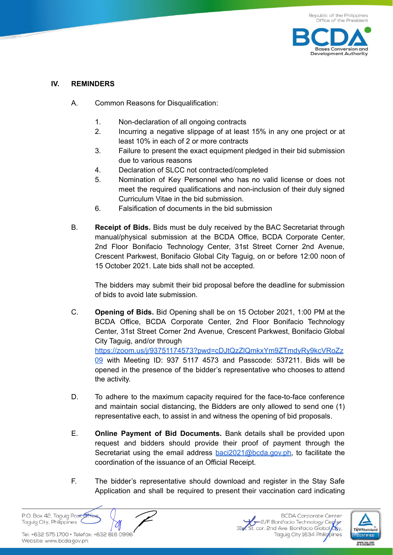

## **IV. REMINDERS**

- A. Common Reasons for Disqualification:
	- 1. Non-declaration of all ongoing contracts
	- 2. Incurring a negative slippage of at least 15% in any one project or at least 10% in each of 2 or more contracts
	- 3. Failure to present the exact equipment pledged in their bid submission due to various reasons
	- 4. Declaration of SLCC not contracted/completed
	- 5. Nomination of Key Personnel who has no valid license or does not meet the required qualifications and non-inclusion of their duly signed Curriculum Vitae in the bid submission.
	- 6. Falsification of documents in the bid submission
- B. **Receipt of Bids.** Bids must be duly received by the BAC Secretariat through manual/physical submission at the BCDA Office, BCDA Corporate Center, 2nd Floor Bonifacio Technology Center, 31st Street Corner 2nd Avenue, Crescent Parkwest, Bonifacio Global City Taguig, on or before 12:00 noon of 15 October 2021. Late bids shall not be accepted.

The bidders may submit their bid proposal before the deadline for submission of bids to avoid late submission.

- C. **Opening of Bids.** Bid Opening shall be on 15 October 2021, 1:00 PM at the BCDA Office, BCDA Corporate Center, 2nd Floor Bonifacio Technology Center, 31st Street Corner 2nd Avenue, Crescent Parkwest, Bonifacio Global City Taguig, and/or through https://zoom.us/j/93751174573?pwd=cDJtQzZlQmkxYm9ZTmdyRy9kcVRoZz 09 with Meeting ID: 937 5117 4573 and Passcode: 537211. Bids will be opened in the presence of the bidder's representative who chooses to attend the activity.
- D. To adhere to the maximum capacity required for the face-to-face conference and maintain social distancing, the Bidders are only allowed to send one (1) representative each, to assist in and witness the opening of bid proposals.
- E. **Online Payment of Bid Documents.** Bank details shall be provided upon request and bidders should provide their proof of payment through the Secretariat using the email address baci2021@bcda.gov.ph, to facilitate the coordination of the issuance of an Official Receipt.
- F. The bidder's representative should download and register in the Stay Safe Application and shall be required to present their vaccination card indicating

P.O. Box 42, Taguig Post Taguig City, Philippines